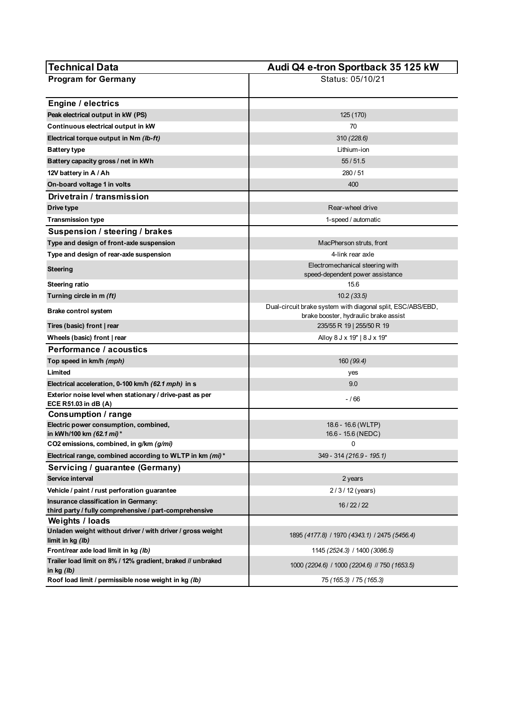| <b>Technical Data</b>                                                                               | Audi Q4 e-tron Sportback 35 125 kW                                                                   |
|-----------------------------------------------------------------------------------------------------|------------------------------------------------------------------------------------------------------|
| <b>Program for Germany</b>                                                                          | Status: 05/10/21                                                                                     |
|                                                                                                     |                                                                                                      |
| <b>Engine / electrics</b>                                                                           |                                                                                                      |
| Peak electrical output in kW (PS)                                                                   | 125 (170)                                                                                            |
| Continuous electrical output in kW                                                                  | 70                                                                                                   |
| Electrical torque output in Nm (lb-ft)                                                              | 310 (228.6)                                                                                          |
| <b>Battery type</b>                                                                                 | Lithium-ion                                                                                          |
| Battery capacity gross / net in kWh                                                                 | 55/51.5                                                                                              |
| 12V battery in A / Ah                                                                               | 280/51                                                                                               |
| On-board voltage 1 in volts                                                                         | 400                                                                                                  |
| Drivetrain / transmission                                                                           |                                                                                                      |
| Drive type                                                                                          | Rear-wheel drive                                                                                     |
| Transmission type                                                                                   | 1-speed / automatic                                                                                  |
| Suspension / steering / brakes                                                                      |                                                                                                      |
| Type and design of front-axle suspension                                                            | MacPherson struts, front                                                                             |
| Type and design of rear-axle suspension                                                             | 4-link rear axle                                                                                     |
| <b>Steering</b>                                                                                     | Electromechanical steering with                                                                      |
|                                                                                                     | speed-dependent power assistance                                                                     |
| <b>Steering ratio</b>                                                                               | 15.6                                                                                                 |
| Turning circle in m (ft)                                                                            | 10.2(33.5)                                                                                           |
| Brake control system                                                                                | Dual-circuit brake system with diagonal split, ESC/ABS/EBD,<br>brake booster, hydraulic brake assist |
| Tires (basic) front   rear                                                                          | 235/55 R 19   255/50 R 19                                                                            |
| Wheels (basic) front   rear                                                                         | Alloy 8 J x 19"   8 J x 19"                                                                          |
| <b>Performance / acoustics</b>                                                                      |                                                                                                      |
| Top speed in km/h (mph)                                                                             | 160 (99.4)                                                                                           |
| Limited                                                                                             | yes                                                                                                  |
| Electrical acceleration, 0-100 km/h (62.1 mph) in s                                                 | 9.0                                                                                                  |
| Exterior noise level when stationary / drive-past as per<br>ECE R51.03 in dB (A)                    | $-/66$                                                                                               |
| <b>Consumption / range</b>                                                                          |                                                                                                      |
| Electric power consumption, combined,                                                               | 18.6 - 16.6 (WLTP)                                                                                   |
| in kWh/100 km (62.1 mi)*                                                                            | 16.6 - 15.6 (NEDC)<br>0                                                                              |
| CO2 emissions, combined, in g/km (g/mi)<br>Electrical range, combined according to WLTP in km (mi)* | 349 - 314 (216.9 - 195.1)                                                                            |
|                                                                                                     |                                                                                                      |
| Servicing / guarantee (Germany)<br>Service interval                                                 | 2 years                                                                                              |
| Vehicle / paint / rust perforation quarantee                                                        | 2/3/12 (years)                                                                                       |
| Insurance classification in Germany:                                                                |                                                                                                      |
| third party / fully comprehensive / part-comprehensive                                              | 16 / 22 / 22                                                                                         |
| <b>Weights / loads</b>                                                                              |                                                                                                      |
| Unladen weight without driver / with driver / gross weight                                          | 1895 (4177.8) / 1970 (4343.1) / 2475 (5456.4)                                                        |
| limit in kg (lb)                                                                                    |                                                                                                      |
| Front/rear axle load limit in kg (lb)                                                               | 1145 (2524.3) / 1400 (3086.5)                                                                        |
| Trailer load limit on 8% / 12% gradient, braked // unbraked<br>in kg $(lb)$                         | 1000 (2204.6) / 1000 (2204.6) // 750 (1653.5)                                                        |
| Roof load limit / permissible nose weight in kg (lb)                                                | 75 (165.3) / 75 (165.3)                                                                              |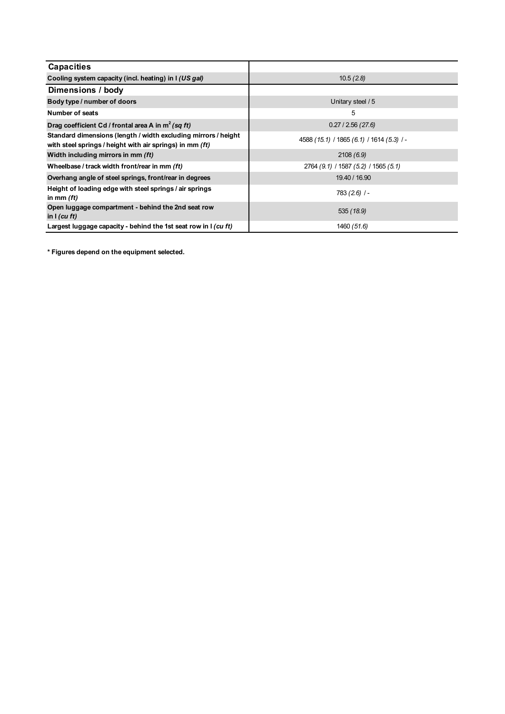| <b>Capacities</b>                                                                                                          |                                           |
|----------------------------------------------------------------------------------------------------------------------------|-------------------------------------------|
| Cooling system capacity (incl. heating) in I (US gal)                                                                      | 10.5(2.8)                                 |
| Dimensions / body                                                                                                          |                                           |
| Body type / number of doors                                                                                                | Unitary steel / 5                         |
| Number of seats                                                                                                            | 5                                         |
| Drag coefficient Cd / frontal area A in $m^2$ (sq ft)                                                                      | 0.27/2.56(27.6)                           |
| Standard dimensions (length / width excluding mirrors / height<br>with steel springs / height with air springs) in mm (ft) | 4588 (15.1) / 1865 (6.1) / 1614 (5.3) / - |
| Width including mirrors in mm (ft)                                                                                         | 2108(6.9)                                 |
| Wheelbase / track width front/rear in mm (ft)                                                                              | 2764 (9.1) / 1587 (5.2) / 1565 (5.1)      |
| Overhang angle of steel springs, front/rear in degrees                                                                     | 19.40 / 16.90                             |
| Height of loading edge with steel springs / air springs<br>in mm $(ft)$                                                    | $783(2.6)$ /-                             |
| Open luggage compartment - behind the 2nd seat row<br>in $I$ (cu ft)                                                       | 535(18.9)                                 |
| Largest luggage capacity - behind the 1st seat row in I (cu ft)                                                            | 1460 (51.6)                               |

**\* Figures depend on the equipment selected.**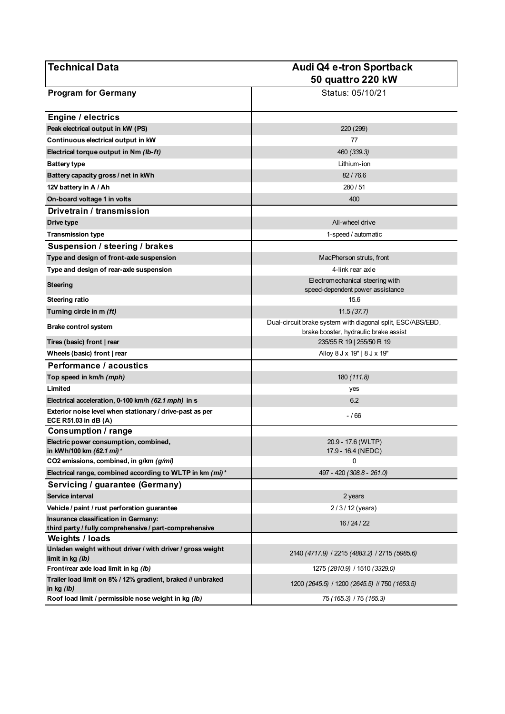| <b>Technical Data</b>                                                          | Audi Q4 e-tron Sportback                                                                             |
|--------------------------------------------------------------------------------|------------------------------------------------------------------------------------------------------|
|                                                                                | 50 quattro 220 kW                                                                                    |
| <b>Program for Germany</b>                                                     | Status: 05/10/21                                                                                     |
| <b>Engine / electrics</b>                                                      |                                                                                                      |
| Peak electrical output in kW (PS)                                              | 220 (299)                                                                                            |
| Continuous electrical output in kW                                             | 77                                                                                                   |
| Electrical torque output in Nm (lb-ft)                                         | 460 (339.3)                                                                                          |
| <b>Battery type</b>                                                            | Lithium-ion                                                                                          |
| Battery capacity gross / net in kWh                                            | 82/76.6                                                                                              |
| 12V battery in A / Ah                                                          | 280 / 51                                                                                             |
| On-board voltage 1 in volts                                                    | 400                                                                                                  |
| Drivetrain / transmission                                                      |                                                                                                      |
| Drive type                                                                     | All-wheel drive                                                                                      |
| <b>Transmission type</b>                                                       | 1-speed / automatic                                                                                  |
| Suspension / steering / brakes                                                 |                                                                                                      |
| Type and design of front-axle suspension                                       | MacPherson struts, front                                                                             |
|                                                                                | 4-link rear axle                                                                                     |
| Type and design of rear-axle suspension                                        | Electromechanical steering with                                                                      |
| <b>Steering</b>                                                                | speed-dependent power assistance                                                                     |
| <b>Steering ratio</b>                                                          | 15.6                                                                                                 |
| Turning circle in m (ft)                                                       | 11.5(37.7)                                                                                           |
| <b>Brake control system</b>                                                    | Dual-circuit brake system with diagonal split, ESC/ABS/EBD,<br>brake booster, hydraulic brake assist |
| Tires (basic) front   rear                                                     | 235/55 R 19   255/50 R 19                                                                            |
| Wheels (basic) front   rear                                                    | Alloy 8 J x 19"   8 J x 19"                                                                          |
| Performance / acoustics                                                        |                                                                                                      |
| Top speed in km/h (mph)                                                        | 180 (111.8)                                                                                          |
| Limited                                                                        | yes                                                                                                  |
| Electrical acceleration, 0-100 km/h (62.1 mph) in s                            | 6.2                                                                                                  |
| Exterior noise level when stationary / drive-past as per                       |                                                                                                      |
| ECE R51.03 in dB (A)                                                           | - / 66                                                                                               |
| Consumption / range                                                            |                                                                                                      |
| Electric power consumption, combined,<br>in kWh/100 km (62.1 mi)*              | 20.9 - 17.6 (WLTP)<br>17.9 - 16.4 (NEDC)                                                             |
| CO2 emissions, combined, in g/km (g/mi)                                        | 0                                                                                                    |
| Electrical range, combined according to WLTP in km (mi)*                       | 497 - 420 (308.8 - 261.0)                                                                            |
| Servicing / guarantee (Germany)                                                |                                                                                                      |
| Service interval                                                               | 2 years                                                                                              |
| Vehicle / paint / rust perforation guarantee                                   | $2/3/12$ (years)                                                                                     |
| Insurance classification in Germany:                                           | 16 / 24 / 22                                                                                         |
| third party / fully comprehensive / part-comprehensive                         |                                                                                                      |
| <b>Weights / loads</b>                                                         |                                                                                                      |
| Unladen weight without driver / with driver / gross weight<br>limit in kg (lb) | 2140 (4717.9) / 2215 (4883.2) / 2715 (5985.6)                                                        |
| Front/rear axle load limit in kg (Ib)                                          | 1275 (2810.9) / 1510 (3329.0)                                                                        |
| Trailer load limit on 8% / 12% gradient, braked // unbraked<br>in $kg(h)$      | 1200 (2645.5) / 1200 (2645.5) // 750 (1653.5)                                                        |
| Roof load limit / permissible nose weight in kg (lb)                           | 75 (165.3) / 75 (165.3)                                                                              |